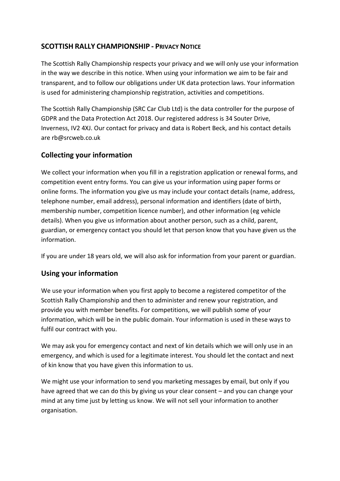## **SCOTTISH RALLY CHAMPIONSHIP - PRIVACY NOTICE**

The Scottish Rally Championship respects your privacy and we will only use your information in the way we describe in this notice. When using your information we aim to be fair and transparent, and to follow our obligations under UK data protection laws. Your information is used for administering championship registration, activities and competitions.

The Scottish Rally Championship (SRC Car Club Ltd) is the data controller for the purpose of GDPR and the Data Protection Act 2018. Our registered address is 34 Souter Drive, Inverness, IV2 4XJ. Our contact for privacy and data is Robert Beck, and his contact details are rb@srcweb.co.uk

## **Collecting your information**

We collect your information when you fill in a registration application or renewal forms, and competition event entry forms. You can give us your information using paper forms or online forms. The information you give us may include your contact details (name, address, telephone number, email address), personal information and identifiers (date of birth, membership number, competition licence number), and other information (eg vehicle details). When you give us information about another person, such as a child, parent, guardian, or emergency contact you should let that person know that you have given us the information.

If you are under 18 years old, we will also ask for information from your parent or guardian.

#### **Using your information**

We use your information when you first apply to become a registered competitor of the Scottish Rally Championship and then to administer and renew your registration, and provide you with member benefits. For competitions, we will publish some of your information, which will be in the public domain. Your information is used in these ways to fulfil our contract with you.

We may ask you for emergency contact and next of kin details which we will only use in an emergency, and which is used for a legitimate interest. You should let the contact and next of kin know that you have given this information to us.

We might use your information to send you marketing messages by email, but only if you have agreed that we can do this by giving us your clear consent – and you can change your mind at any time just by letting us know. We will not sell your information to another organisation.